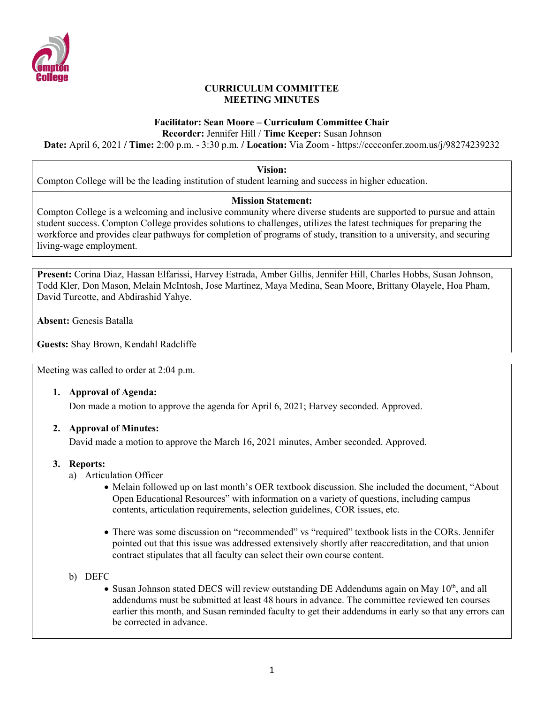

### **CURRICULUM COMMITTEE MEETING MINUTES**

## **Facilitator: Sean Moore – Curriculum Committee Chair**

**Recorder:** Jennifer Hill / **Time Keeper:** Susan Johnson

**Date:** April 6, 2021 **/ Time:** 2:00 p.m. - 3:30 p.m. **/ Location:** Via Zoom - https://cccconfer.zoom.us/j/98274239232

**Vision:**

Compton College will be the leading institution of student learning and success in higher education.

### **Mission Statement:**

Compton College is a welcoming and inclusive community where diverse students are supported to pursue and attain student success. Compton College provides solutions to challenges, utilizes the latest techniques for preparing the workforce and provides clear pathways for completion of programs of study, transition to a university, and securing living-wage employment.

**Present:** Corina Diaz, Hassan Elfarissi, Harvey Estrada, Amber Gillis, Jennifer Hill, Charles Hobbs, Susan Johnson, Todd Kler, Don Mason, Melain McIntosh, Jose Martinez, Maya Medina, Sean Moore, Brittany Olayele, Hoa Pham, David Turcotte, and Abdirashid Yahye.

**Absent:** Genesis Batalla

**Guests:** Shay Brown, Kendahl Radcliffe

Meeting was called to order at 2:04 p.m.

### **1. Approval of Agenda:**

Don made a motion to approve the agenda for April 6, 2021; Harvey seconded. Approved.

### **2. Approval of Minutes:**

David made a motion to approve the March 16, 2021 minutes, Amber seconded. Approved.

### **3. Reports:**

- a) Articulation Officer
	- Melain followed up on last month's OER textbook discussion. She included the document, "About Open Educational Resources" with information on a variety of questions, including campus contents, articulation requirements, selection guidelines, COR issues, etc.
	- There was some discussion on "recommended" vs "required" textbook lists in the CORs. Jennifer pointed out that this issue was addressed extensively shortly after reaccreditation, and that union contract stipulates that all faculty can select their own course content.
- b) DEFC
	- Susan Johnson stated DECS will review outstanding DE Addendums again on May  $10<sup>th</sup>$ , and all addendums must be submitted at least 48 hours in advance. The committee reviewed ten courses earlier this month, and Susan reminded faculty to get their addendums in early so that any errors can be corrected in advance.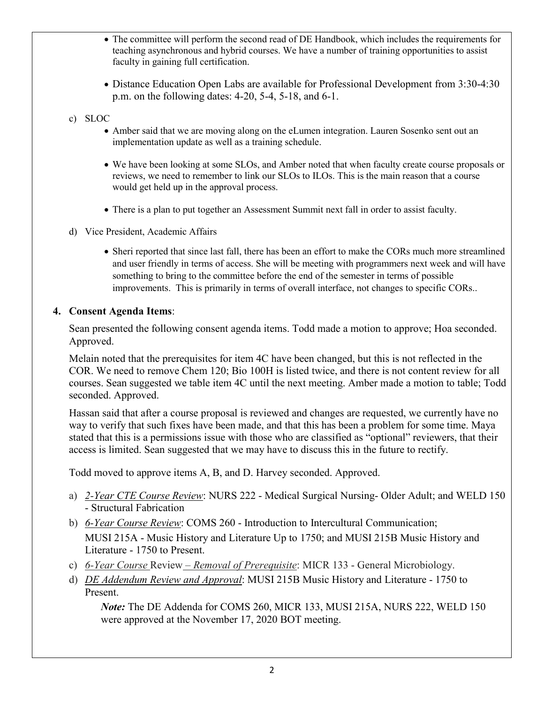- The committee will perform the second read of DE Handbook, which includes the requirements for teaching asynchronous and hybrid courses. We have a number of training opportunities to assist faculty in gaining full certification.
- Distance Education Open Labs are available for Professional Development from 3:30-4:30 p.m. on the following dates: 4-20, 5-4, 5-18, and 6-1.

## c) SLOC

- Amber said that we are moving along on the eLumen integration. Lauren Sosenko sent out an implementation update as well as a training schedule.
- We have been looking at some SLOs, and Amber noted that when faculty create course proposals or reviews, we need to remember to link our SLOs to ILOs. This is the main reason that a course would get held up in the approval process.
- There is a plan to put together an Assessment Summit next fall in order to assist faculty.
- d) Vice President, Academic Affairs
	- Sheri reported that since last fall, there has been an effort to make the CORs much more streamlined and user friendly in terms of access. She will be meeting with programmers next week and will have something to bring to the committee before the end of the semester in terms of possible improvements. This is primarily in terms of overall interface, not changes to specific CORs..

## **4. Consent Agenda Items**:

Sean presented the following consent agenda items. Todd made a motion to approve; Hoa seconded. Approved.

Melain noted that the prerequisites for item 4C have been changed, but this is not reflected in the COR. We need to remove Chem 120; Bio 100H is listed twice, and there is not content review for all courses. Sean suggested we table item 4C until the next meeting. Amber made a motion to table; Todd seconded. Approved.

Hassan said that after a course proposal is reviewed and changes are requested, we currently have no way to verify that such fixes have been made, and that this has been a problem for some time. Maya stated that this is a permissions issue with those who are classified as "optional" reviewers, that their access is limited. Sean suggested that we may have to discuss this in the future to rectify.

Todd moved to approve items A, B, and D. Harvey seconded. Approved.

- a) *2-Year CTE Course Review*: NURS 222 Medical Surgical Nursing- Older Adult; and WELD 150 - Structural Fabrication
- b) *6-Year Course Review*: COMS 260 Introduction to Intercultural Communication; MUSI 215A - Music History and Literature Up to 1750; and MUSI 215B Music History and Literature - 1750 to Present.
- c) *6-Year Course* Review *– Removal of Prerequisite*: MICR 133 General Microbiology.
- d) *DE Addendum Review and Approval*: MUSI 215B Music History and Literature 1750 to Present.

*Note:* The DE Addenda for COMS 260, MICR 133, MUSI 215A, NURS 222, WELD 150 were approved at the November 17, 2020 BOT meeting.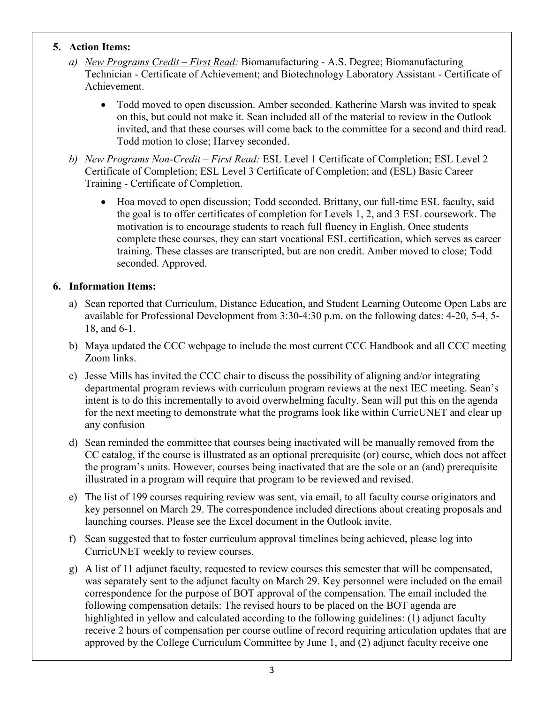## **5. Action Items:**

- *a) New Programs Credit – First Read:* Biomanufacturing A.S. Degree; Biomanufacturing Technician - Certificate of Achievement; and Biotechnology Laboratory Assistant - Certificate of Achievement.
	- Todd moved to open discussion. Amber seconded. Katherine Marsh was invited to speak on this, but could not make it. Sean included all of the material to review in the Outlook invited, and that these courses will come back to the committee for a second and third read. Todd motion to close; Harvey seconded.
- *b) New Programs Non-Credit – First Read:* ESL Level 1 Certificate of Completion; ESL Level 2 Certificate of Completion; ESL Level 3 Certificate of Completion; and (ESL) Basic Career Training - Certificate of Completion.
	- Hoa moved to open discussion; Todd seconded. Brittany, our full-time ESL faculty, said the goal is to offer certificates of completion for Levels 1, 2, and 3 ESL coursework. The motivation is to encourage students to reach full fluency in English. Once students complete these courses, they can start vocational ESL certification, which serves as career training. These classes are transcripted, but are non credit. Amber moved to close; Todd seconded. Approved.

## **6. Information Items:**

- a) Sean reported that Curriculum, Distance Education, and Student Learning Outcome Open Labs are available for Professional Development from 3:30-4:30 p.m. on the following dates: 4-20, 5-4, 5- 18, and 6-1.
- b) Maya updated the CCC webpage to include the most current CCC Handbook and all CCC meeting Zoom links.
- c) Jesse Mills has invited the CCC chair to discuss the possibility of aligning and/or integrating departmental program reviews with curriculum program reviews at the next IEC meeting. Sean's intent is to do this incrementally to avoid overwhelming faculty. Sean will put this on the agenda for the next meeting to demonstrate what the programs look like within CurricUNET and clear up any confusion
- d) Sean reminded the committee that courses being inactivated will be manually removed from the CC catalog, if the course is illustrated as an optional prerequisite (or) course, which does not affect the program's units. However, courses being inactivated that are the sole or an (and) prerequisite illustrated in a program will require that program to be reviewed and revised.
- e) The list of 199 courses requiring review was sent, via email, to all faculty course originators and key personnel on March 29. The correspondence included directions about creating proposals and launching courses. Please see the Excel document in the Outlook invite.
- f) Sean suggested that to foster curriculum approval timelines being achieved, please log into CurricUNET weekly to review courses.
- g) A list of 11 adjunct faculty, requested to review courses this semester that will be compensated, was separately sent to the adjunct faculty on March 29. Key personnel were included on the email correspondence for the purpose of BOT approval of the compensation. The email included the following compensation details: The revised hours to be placed on the BOT agenda are highlighted in yellow and calculated according to the following guidelines: (1) adjunct faculty receive 2 hours of compensation per course outline of record requiring articulation updates that are approved by the College Curriculum Committee by June 1, and (2) adjunct faculty receive one